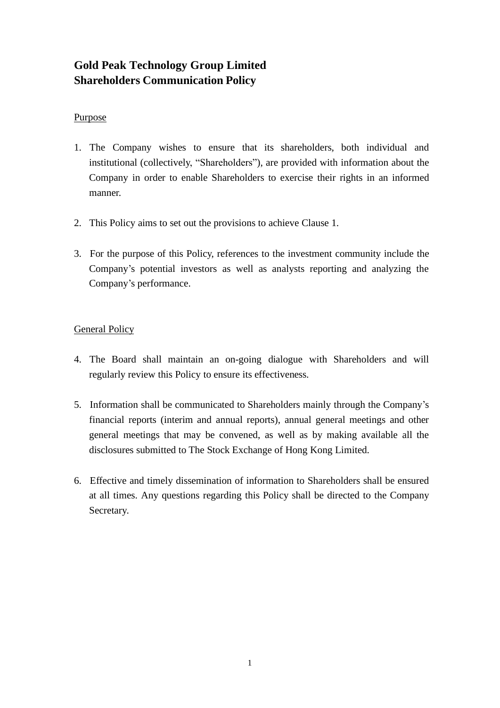# **Gold Peak Technology Group Limited Shareholders Communication Policy**

### Purpose

- 1. The Company wishes to ensure that its shareholders, both individual and institutional (collectively, "Shareholders"), are provided with information about the Company in order to enable Shareholders to exercise their rights in an informed manner.
- 2. This Policy aims to set out the provisions to achieve Clause 1.
- 3. For the purpose of this Policy, references to the investment community include the Company's potential investors as well as analysts reporting and analyzing the Company's performance.

## General Policy

- 4. The Board shall maintain an on-going dialogue with Shareholders and will regularly review this Policy to ensure its effectiveness.
- 5. Information shall be communicated to Shareholders mainly through the Company's financial reports (interim and annual reports), annual general meetings and other general meetings that may be convened, as well as by making available all the disclosures submitted to The Stock Exchange of Hong Kong Limited.
- 6. Effective and timely dissemination of information to Shareholders shall be ensured at all times. Any questions regarding this Policy shall be directed to the Company Secretary.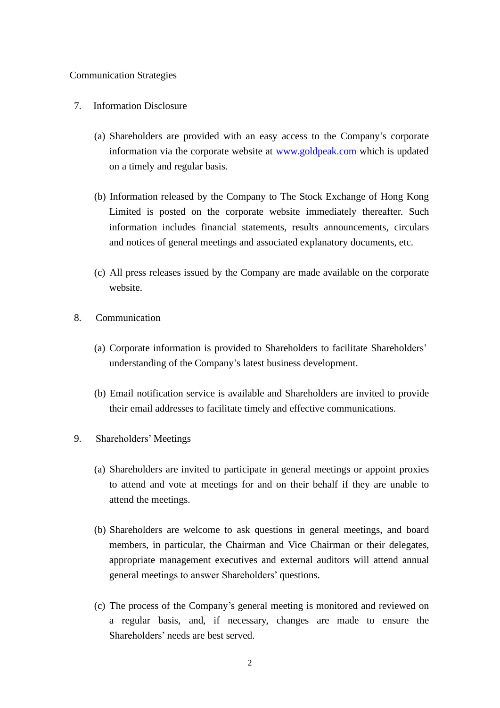#### Communication Strategies

- 7. Information Disclosure
	- (a) Shareholders are provided with an easy access to the Company's corporate information via the corporate website at [www.goldpeak.com](http://www.goldpeak.com/) which is updated on a timely and regular basis.
	- (b) Information released by the Company to The Stock Exchange of Hong Kong Limited is posted on the corporate website immediately thereafter. Such information includes financial statements, results announcements, circulars and notices of general meetings and associated explanatory documents, etc.
	- (c) All press releases issued by the Company are made available on the corporate website.
- 8. Communication
	- (a) Corporate information is provided to Shareholders to facilitate Shareholders' understanding of the Company's latest business development.
	- (b) Email notification service is available and Shareholders are invited to provide their email addresses to facilitate timely and effective communications.
- 9. Shareholders' Meetings
	- (a) Shareholders are invited to participate in general meetings or appoint proxies to attend and vote at meetings for and on their behalf if they are unable to attend the meetings.
	- (b) Shareholders are welcome to ask questions in general meetings, and board members, in particular, the Chairman and Vice Chairman or their delegates, appropriate management executives and external auditors will attend annual general meetings to answer Shareholders' questions.
	- (c) The process of the Company's general meeting is monitored and reviewed on a regular basis, and, if necessary, changes are made to ensure the Shareholders' needs are best served.